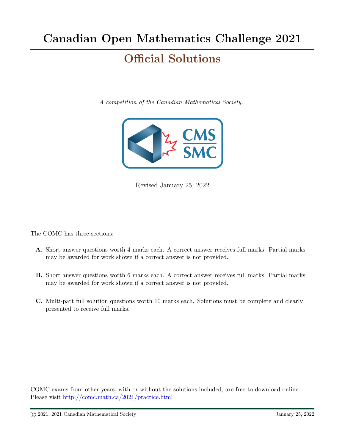# Official Solutions

A competition of the Canadian Mathematical Society.



Revised January 25, 2022

The COMC has three sections:

- A. Short answer questions worth 4 marks each. A correct answer receives full marks. Partial marks may be awarded for work shown if a correct answer is not provided.
- B. Short answer questions worth 6 marks each. A correct answer receives full marks. Partial marks may be awarded for work shown if a correct answer is not provided.
- C. Multi-part full solution questions worth 10 marks each. Solutions must be complete and clearly presented to receive full marks.

COMC exams from other years, with or without the solutions included, are free to download online. Please visit <http://comc.math.ca/2021/practice.html>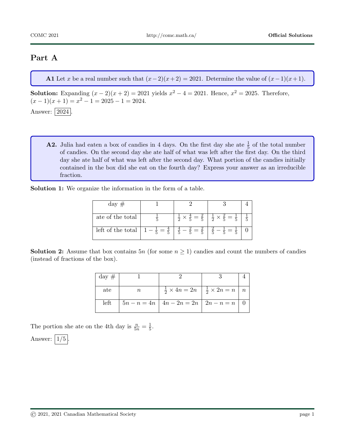## Part A

A1 Let x be a real number such that  $(x-2)(x+2) = 2021$ . Determine the value of  $(x-1)(x+1)$ .

**Solution:** Expanding  $(x - 2)(x + 2) = 2021$  yields  $x^2 - 4 = 2021$ . Hence,  $x^2 = 2025$ . Therefore,  $(x-1)(x+1) = x^2 - 1 = 2025 - 1 = 2024.$ Answer: 2024

**A2.** Julia had eaten a box of candies in 4 days. On the first day she ate  $\frac{1}{5}$  of the total number of candies. On the second day she ate half of what was left after the first day. On the third day she ate half of what was left after the second day. What portion of the candies initially contained in the box did she eat on the fourth day? Express your answer as an irreducible fraction.

Solution 1: We organize the information in the form of a table.

| $day \#$          |                       |                                                                                               |  |
|-------------------|-----------------------|-----------------------------------------------------------------------------------------------|--|
| ate of the total  |                       | $\frac{1}{2} \times \frac{4}{5} = \frac{2}{5}$ $\frac{1}{2} \times \frac{2}{5} = \frac{1}{5}$ |  |
| left of the total | $1 - \frac{1}{5} = -$ | $\frac{4}{5} - \frac{2}{5} =$                                                                 |  |

**Solution 2:** Assume that box contains  $5n$  (for some  $n \geq 1$ ) candies and count the numbers of candies (instead of fractions of the box).

| $day \#$ |        |                                                                    |  |
|----------|--------|--------------------------------------------------------------------|--|
| ate      | $\, n$ | $\frac{1}{2} \times 4n = 2n \mid \frac{1}{2} \times 2n = n \mid n$ |  |
| left     |        | $5n - n = 4n \mid 4n - 2n = 2n \mid 2n - n = n \mid 0$             |  |

The portion she ate on the 4th day is  $\frac{n}{5n} = \frac{1}{5}$  $\frac{1}{5}$ .

Answer:  $|1/5|$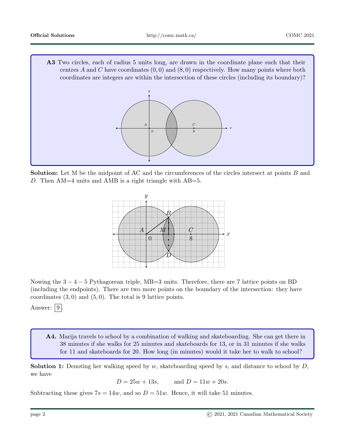A3 Two circles, each of radius 5 units long, are drawn in the coordinate plane such that their centres A and C have coordinates  $(0,0)$  and  $(8,0)$  respectively. How many points where both coordinates are integers are within the intersection of these circles (including its boundary)?



Solution: Let M be the midpoint of AC and the circumferences of the circles intersect at points B and D. Then  $AM=4$  units and AMB is a right triangle with  $AB=5$ .



Nowing the 3 − 4 − 5 Pythagorean triple, MB=3 units. Therefore, there are 7 lattice points on BD (including the endpoints). There are two more points on the boundary of the intersection: they have coordinates  $(3,0)$  and  $(5,0)$ . The total is 9 lattice points.

Answer:  $|9|$ 

A4. Marija travels to school by a combination of walking and skateboarding. She can get there in 38 minutes if she walks for 25 minutes and skateboards for 13, or in 31 minutes if she walks for 11 and skateboards for 20. How long (in minutes) would it take her to walk to school?

**Solution 1:** Denoting her walking speed by w, skateboarding speed by s, and distance to school by  $D$ , we have

 $D = 25w + 13s$ , and  $D = 11w + 20s$ .

Subtracting these gives  $7s = 14w$ , and so  $D = 51w$ . Hence, it will take 51 minutes.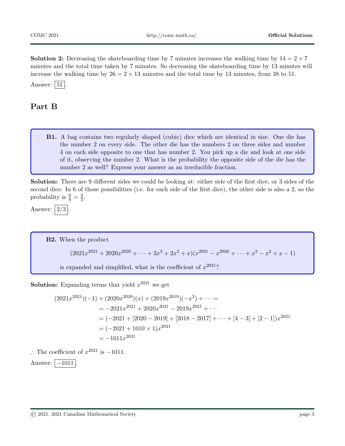**Solution 2:** Decreasing the skateboarding time by 7 minutes increases the walking time by  $14 = 2 \times 7$ minutes and the total time taken by 7 minutes. So decreasing the skateboarding time by 13 minutes will increase the walking time by  $26 = 2 \times 13$  minutes and the total time by 13 minutes, from 38 to 51. Answer:  $|51|$ .

## Part B

B1. A bag contains two regularly shaped (cubic) dice which are identical in size. One die has the number 2 on every side. The other die has the numbers 2 on three sides and number 4 on each side opposite to one that has number 2. You pick up a die and look at one side of it, observing the number 2. What is the probability the opposite side of the die has the number 2 as well? Express your answer as an irreducible fraction.

Solution: There are 9 different sides we could be looking at: either side of the first dice, or 3 sides of the second dice. In 6 of those possibilities (i.e. for each side of the first dice), the other side is also a 2, so the probability is  $\frac{6}{9} = \frac{2}{3}$  $\frac{2}{3}$ .

Answer:  $\left| \frac{2}{3} \right|$ 

B2. When the product  $(2021x^{2021} + 2020x^{2020} + \cdots + 3x^3 + 2x^2 + x)(x^{2021} - x^{2020} + \cdots + x^3 - x^2 + x - 1)$ is expanded and simplified, what is the coefficient of  $x^{2021}$ ?

**Solution:** Expanding terms that yield  $x^{2021}$  we get

$$
(2021x^{2021})(-1) + (2020x^{2020})(x) + (2019x^{2019})(-x^2) + \cdots =
$$
  
= -2021x^{2021} + 2020x^{2021} - 2019x^{2021} + \cdots  
= (-2021 + [2020 - 2019] + [2018 - 2017] + \cdots + [4 - 3] + [2 - 1])x^{2021}  
= (-2021 + 1010 \times 1)x^{2021}  
= -1011x^{2021}

∴ The coefficient of  $x^{2021}$  is  $-1011$ .

Answer:  $|-1011|$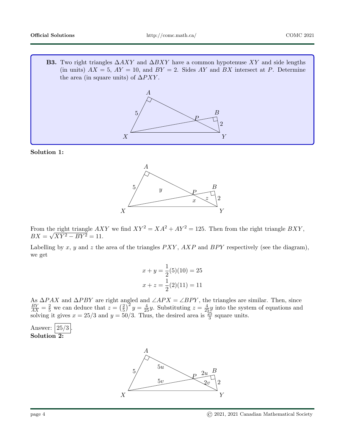**B3.** Two right triangles  $\Delta AXY$  and  $\Delta BXY$  have a common hypotenuse XY and side lengths (in units)  $AX = 5$ ,  $AY = 10$ , and  $BY = 2$ . Sides AY and BX intersect at P. Determine the area (in square units) of  $\Delta PXY$ .



Solution 1:



From the right triangle  $AXY$  we find  $XY^2 = XA^2 + AY^2 = 125$ . Then from the right triangle  $BXY$ ,  $BX = \sqrt{XY^2 - BY^2} = 11.$ 

Labelling by x, y and z the area of the triangles  $PXY$ ,  $AXP$  and  $BPY$  respectively (see the diagram), we get

$$
x + y = \frac{1}{2}(5)(10) = 25
$$
  

$$
x + z = \frac{1}{2}(2)(11) = 11
$$

As  $\Delta PAX$  and  $\Delta PBY$  are right angled and  $\angle APX = \angle BPY$ , the triangles are similar. Then, since  $\frac{BY}{AX} = \frac{2}{5}$  we can deduce that  $z = \left(\frac{2}{5}\right)$  $(\frac{2}{5})^2 y = \frac{4}{25}y$ . Substituting  $z = \frac{4}{25}y$  into the system of equations and solving it gives  $x = 25/3$  and  $y = 50/3$ . Thus, the desired area is  $\frac{25}{3}$  square units.



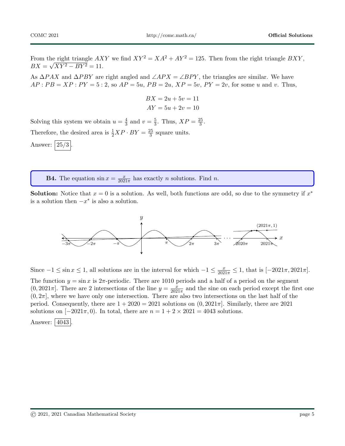From the right triangle  $AXY$  we find  $XY^2 = XA^2 + AY^2 = 125$ . Then from the right triangle  $BXY$ ,  $BX = \sqrt{XY^2 - BY^2} = 11.$ 

As  $\Delta PAX$  and  $\Delta PBY$  are right angled and  $\angle APX = \angle BPY$ , the triangles are similar. We have  $AP : PB = XP : PY = 5 : 2$ , so  $AP = 5u$ ,  $PB = 2u$ ,  $XP = 5v$ ,  $PY = 2v$ , for some u and v. Thus,

$$
BX = 2u + 5v = 11
$$

$$
AY = 5u + 2v = 10
$$

Solving this system we obtain  $u=\frac{4}{3}$  $\frac{4}{3}$  and  $v = \frac{5}{3}$  $\frac{5}{3}$ . Thus,  $XP = \frac{25}{3}$  $\frac{25}{3}$ . Therefore, the desired area is  $\frac{1}{2}XP \cdot BY = \frac{25}{3}$  $\frac{25}{3}$  square units.

Answer:  $|25/3|$ 

**B4.** The equation  $\sin x = \frac{x}{202}$  $\frac{x}{2021\pi}$  has exactly *n* solutions. Find *n*.

**Solution:** Notice that  $x = 0$  is a solution. As well, both functions are odd, so due to the symmetry if  $x^*$ is a solution then  $-x^*$  is also a solution.



Since  $-1 \le \sin x \le 1$ , all solutions are in the interval for which  $-1 \le \frac{x}{2021\pi} \le 1$ , that is  $[-2021\pi, 2021\pi]$ . The function  $y = \sin x$  is  $2\pi$ -periodic. There are 1010 periods and a half of a period on the segment  $(0, 2021\pi]$ . There are 2 intersections of the line  $y = \frac{x}{202}$  $\frac{x}{2021\pi}$  and the sine on each period except the first one  $(0, 2\pi]$ , where we have only one intersection. There are also two intersections on the last half of the period. Consequently, there are  $1 + 2020 = 2021$  solutions on  $(0, 2021\pi]$ . Similarly, there are 2021 solutions on  $[-2021\pi, 0)$ . In total, there are  $n = 1 + 2 \times 2021 = 4043$  solutions.

Answer: 4043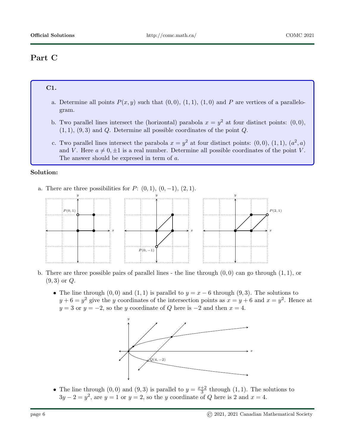# Part C

## C1.

- a. Determine all points  $P(x, y)$  such that  $(0, 0), (1, 1), (1, 0)$  and P are vertices of a parallelogram.
- b. Two parallel lines intersect the (horizontal) parabola  $x = y^2$  at four distinct points: (0,0),  $(1, 1), (9, 3)$  and Q. Determine all possible coordinates of the point Q.
- c. Two parallel lines intersect the parabola  $x = y^2$  at four distinct points: (0,0), (1,1), ( $a^2$ , a) and V. Here  $a \neq 0, \pm 1$  is a real number. Determine all possible coordinates of the point V. The answer should be expresed in term of a.

### Solution:

a. There are three possibilities for  $P: (0,1), (0,-1), (2,1)$ .



- b. There are three possible pairs of parallel lines the line through  $(0, 0)$  can go through  $(1, 1)$ , or  $(9, 3)$  or  $Q$ .
	- The line through  $(0, 0)$  and  $(1, 1)$  is parallel to  $y = x 6$  through  $(9, 3)$ . The solutions to  $y+6=y^2$  give the y coordinates of the intersection points as  $x=y+6$  and  $x=y^2$ . Hence at  $y = 3$  or  $y = -2$ , so the y coordinate of Q here is  $-2$  and then  $x = 4$ .



• The line through  $(0,0)$  and  $(9,3)$  is parallel to  $y=\frac{x+2}{3}$  $\frac{+2}{3}$  through  $(1, 1)$ . The solutions to  $3y - 2 = y^2$ , are  $y = 1$  or  $y = 2$ , so the y coordinate of Q here is 2 and  $x = 4$ .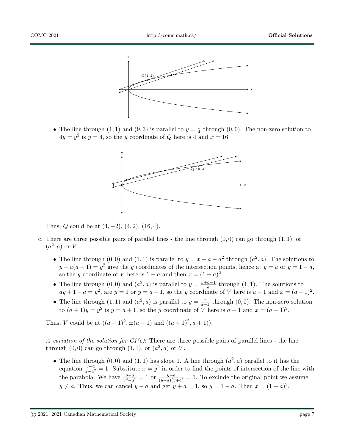

• The line through (1, 1) and (9, 3) is parallel to  $y = \frac{x}{4}$  through (0, 0). The non-zero solution to The line direction  $(1, 1)$  and  $(3, 5)$  is parametered  $y = 4$  enough (0)<br>  $4y = y^2$  is  $y = 4$ , so the y coordinate of Q here is 4 and  $x = 16$ .



Thus,  $Q$  could be at  $(4, -2)$ ,  $(4, 2)$ ,  $(16, 4)$ .

- c. There are three possible pairs of parallel lines the line through  $(0, 0)$  can go through  $(1, 1)$ , or  $(a^2, a)$  or V.
	- The line through  $(0,0)$  and  $(1,1)$  is parallel to  $y = x + a a^2$  through  $(a^2, a)$ . The solutions to  $y + a(a-1) = y^2$  give the y coordinates of the intersection points, hence at  $y = a$  or  $y = 1 - a$ , so the y coordinate of V here is  $1 - a$  and then  $x = (1 - a)^2$ .
	- The line through  $(0,0)$  and  $(a^2, a)$  is parallel to  $y = \frac{x+a-1}{a}$  $\frac{a-1}{a}$  through  $(1, 1)$ . The solutions to  $ay+1-a=y^2$ , are  $y=1$  or  $y=a-1$ , so the y coordinate of V here is  $a-1$  and  $x=(a-1)^2$ .
	- The line through  $(1,1)$  and  $(a^2, a)$  is parallel to  $y = \frac{x}{a+1}$  through  $(0,0)$ . The non-zero solution to  $(a+1)y = y^2$  is  $y = a+1$ , so the y coordinate of V here is  $a+1$  and  $x = (a+1)^2$ .

Thus, V could be at  $((a-1)^2, \pm(a-1)$  and  $((a+1)^2, a+1)$ ).

A variation of the solution for  $C1(c)$ : There are three possible pairs of parallel lines - the line through  $(0,0)$  can go through  $(1,1)$ , or  $(a^2, a)$  or V.

• The line through  $(0,0)$  and  $(1,1)$  has slope 1. A line through  $(a^2, a)$  parallel to it has the equation  $\frac{y-a}{x-a^2} = 1$ . Substitute  $x = y^2$  in order to find the points of intersection of the line with the parabola. We have  $\frac{y-a}{y^2-a^2} = 1$  or  $\frac{y-a}{(y-a)(y+a)} = 1$ . To exclude the original point we assume  $y \neq a$ . Thus, we can cancel  $y - a$  and get  $y + a = 1$ , so  $y = 1 - a$ . Then  $x = (1 - a)^2$ .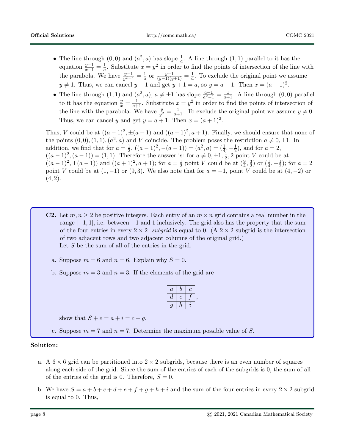- The line through  $(0,0)$  and  $(a^2, a)$  has slope  $\frac{1}{a}$ . A line through  $(1,1)$  parallel to it has the equation  $\frac{y-1}{x-1} = \frac{1}{a}$  $\frac{1}{a}$ . Substitute  $x = y^2$  in order to find the points of intersection of the line with the parabola. We have  $\frac{y-1}{y^2-1} = \frac{1}{a}$  $rac{1}{a}$  or  $rac{y-1}{(y-1)(y+1)} = \frac{1}{a}$  $\frac{1}{a}$ . To exclude the original point we assume  $y \neq 1$ . Thus, we can cancel  $y - 1$  and get  $y + 1 = a$ , so  $y = a - 1$ . Then  $x = (a - 1)^2$ .
- The line through  $(1, 1)$  and  $(a^2, a)$ ,  $a \neq \pm 1$  has slope  $\frac{a-1}{a^2-1} = \frac{1}{a+1}$ . A line through  $(0, 0)$  parallel to it has the equation  $\frac{y}{x} = \frac{1}{a+1}$ . Substitute  $x = y^2$  in order to find the points of intersection of the line with the parabola. We have  $\frac{y}{y^2} = \frac{1}{a+1}$ . To exclude the original point we assume  $y \neq 0$ . Thus, we can cancel y and get  $y = a + 1$ . Then  $x = (a + 1)^2$ .

Thus, V could be at  $((a-1)^2, \pm (a-1)$  and  $((a+1)^2, a+1)$ . Finally, we should ensure that none of the points  $(0,0), (1,1), (a^2, a)$  and V coincide. The problem poses the restriction  $a \neq 0, \pm 1$ . In addition, we find that for  $a=\frac{1}{2}$  $\frac{1}{2}$ ,  $((a-1)^2, -(a-1)) = (a^2, a) = (\frac{1}{4}, -\frac{1}{2})$  $(\frac{1}{2})$ , and for  $a=2$ ,  $((a-1)^2, (a-1)) = (1,1)$ . Therefore the answer is: for  $a \neq 0, \pm 1, \frac{1}{2}$  $\frac{1}{2}$ , 2 point V could be at  $((a-1)^2, \pm(a-1))$  and  $((a+1)^2, a+1)$ ; for  $a=\frac{1}{2}$  $\frac{1}{2}$  point V could be at  $(\frac{9}{4}, \frac{3}{2})$  $\frac{3}{2}$ ) or  $(\frac{1}{4}, -\frac{1}{2})$  $(\frac{1}{2})$ ; for  $a = 2$ point V could be at  $(1, -1)$  or  $(9, 3)$ . We also note that for  $a = -1$ , point V could be at  $(4, -2)$  or  $(4, 2).$ 

- **C2.** Let  $m, n \geq 2$  be positive integers. Each entry of an  $m \times n$  grid contains a real number in the range  $[-1, 1]$ , i.e. between  $-1$  and 1 inclusively. The grid also has the property that the sum of the four entries in every  $2 \times 2$  subgrid is equal to 0. (A  $2 \times 2$  subgrid is the intersection of two adjacent rows and two adjacent columns of the original grid.) Let S be the sum of all of the entries in the grid.
	- a. Suppose  $m = 6$  and  $n = 6$ . Explain why  $S = 0$ .
	- b. Suppose  $m = 3$  and  $n = 3$ . If the elements of the grid are

| $\overline{a}$ | D | O  |
|----------------|---|----|
| d              | e |    |
| 9              | h | I. |

,

show that  $S + e = a + i = c + a$ .

c. Suppose  $m = 7$  and  $n = 7$ . Determine the maximum possible value of S.

#### Solution:

- a. A  $6 \times 6$  grid can be partitioned into  $2 \times 2$  subgrids, because there is an even number of squares along each side of the grid. Since the sum of the entries of each of the subgrids is 0, the sum of all of the entries of the grid is 0. Therefore,  $S = 0$ .
- b. We have  $S = a + b + c + d + e + f + g + h + i$  and the sum of the four entries in every  $2 \times 2$  subgrid is equal to 0. Thus,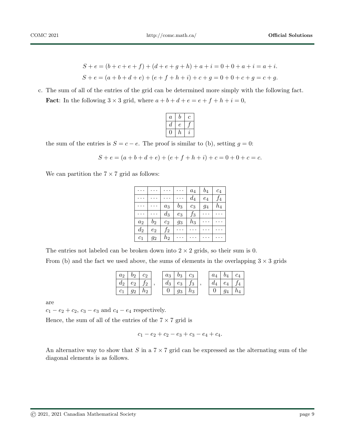$$
S + e = (b + c + e + f) + (d + e + g + h) + a + i = 0 + 0 + a + i = a + i.
$$
  
\n
$$
S + e = (a + b + d + e) + (e + f + h + i) + c + g = 0 + 0 + c + g = c + g.
$$

c. The sum of all of the entries of the grid can be determined more simply with the following fact. **Fact:** In the following  $3 \times 3$  grid, where  $a + b + d + e = e + f + h + i = 0$ ,

| $\it a$ | ſ) | г. |
|---------|----|----|
| а       |    |    |
|         | n  | І. |

the sum of the entries is  $S = c - e$ . The proof is similar to (b), setting  $g = 0$ :

$$
S + e = (a + b + d + e) + (e + f + h + i) + c = 0 + 0 + c = c.
$$

We can partition the  $7 \times 7$  grid as follows:

|                     |       |       |       | $a_4$ | $b_4$ | $c_4$   |
|---------------------|-------|-------|-------|-------|-------|---------|
|                     |       |       |       | $d_4$ | $e_4$ | $f_4$   |
|                     |       | $a_3$ | $b_3$ | $c_3$ | 94    | $h_{4}$ |
|                     |       | $d_3$ | $e_3$ | $f_3$ |       |         |
| $a_2$               | $b_2$ | $c_2$ | $g_3$ | $h_3$ |       |         |
| $d_2$               | $e_2$ | $f_2$ |       |       |       |         |
| $\scriptstyle{c_1}$ | 92    | $h_2$ |       |       |       |         |

The entries not labeled can be broken down into  $2 \times 2$  grids, so their sum is 0. From (b) and the fact we used above, the sums of elements in the overlapping  $3 \times 3$  grids

| a <sub>2</sub> | 00 |           | $a_3$ | $b_3$ |           | a <sub>A</sub> |        |  |
|----------------|----|-----------|-------|-------|-----------|----------------|--------|--|
|                | eэ |           | $a_3$ | $e_3$ | ້າ        |                | $e_4$  |  |
|                |    | $\iota_2$ | ັ     | 93.   | $\iota_3$ |                | $\sim$ |  |

are

 $c_1 - e_2 + c_2$ ,  $c_3 - e_3$  and  $c_4 - e_4$  respectively.

Hence, the sum of all of the entries of the  $7 \times 7$  grid is

$$
c_1 - e_2 + c_2 - e_3 + c_3 - e_4 + c_4.
$$

An alternative way to show that S in a  $7 \times 7$  grid can be expressed as the alternating sum of the diagonal elements is as follows.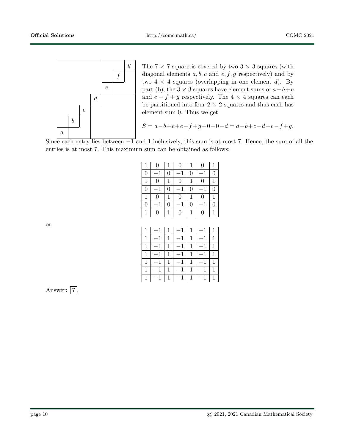

g The 7  $\times$  7 square is covered by two 3  $\times$  3 squares (with diagonal elements  $a, b, c$  and  $e, f, g$  respectively) and by two  $4 \times 4$  squares (overlapping in one element d). By part (b), the 3  $\times$  3 squares have element sums of  $a-b+c$ and  $e - f + g$  respectively. The 4  $\times$  4 squares can each be partitioned into four  $2 \times 2$  squares and thus each has element sum 0. Thus we get

$$
S = a - b + c + e - f + g + 0 + 0 - d = a - b + c - d + e - f + g.
$$

Since each entry lies between  $-\overline{1}$  and 1 inclusively, this sum is at most 7. Hence, the sum of all the entries is at most 7. This maximum sum can be obtained as follows:

| $\mathbf{1}$     | $\Omega$       | 1 | $\overline{0}$ | 1        | $\theta$       | 1              |
|------------------|----------------|---|----------------|----------|----------------|----------------|
| $\boldsymbol{0}$ |                | 0 |                | 0        |                | $\Omega$       |
| $\mathbf{1}$     | 0              | 1 | $\overline{0}$ | 1        | 0              |                |
| $\overline{0}$   |                | 0 |                | $\Omega$ |                | $\overline{0}$ |
| $\mathbf{1}$     | $\overline{0}$ | 1 | $\overline{0}$ | 1        | $\overline{0}$ | 1              |
| $\overline{0}$   |                | 0 |                | $\Omega$ |                | $\Omega$       |
| $\mathbf{1}$     | $\mathbf{0}$   | 1 | 0              |          | 0              |                |

| $1 \mid -1 \mid 1 \mid -1 \mid 1 \mid -1 \mid 1 \mid$ |  |  |  |
|-------------------------------------------------------|--|--|--|
| $1 \mid -1 \mid 1 \mid -1 \mid 1 \mid -1 \mid 1 \mid$ |  |  |  |
| $1 \mid -1 \mid 1 \mid -1 \mid 1 \mid -1 \mid 1 \mid$ |  |  |  |
| $1 - 1$ $1 - 1$ $1 - 1$ $1$                           |  |  |  |
| $1$ $-1$ $1$ $-1$ $1$ $-1$ $1$                        |  |  |  |
| $1$   $-1$   $1$   $-1$   $1$   $-1$   $1$            |  |  |  |
| $1$   -1   1   -1   1   -1   1                        |  |  |  |

or

Answer:  $\boxed{7}$ .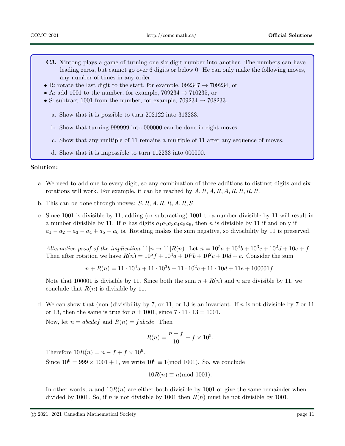- C3. Xintong plays a game of turning one six-digit number into another. The numbers can have leading zeros, but cannot go over 6 digits or below 0. He can only make the following moves, any number of times in any order:
- R: rotate the last digit to the start, for example,  $0.092347 \rightarrow 709234$ , or
- A: add 1001 to the number, for example,  $709234 \rightarrow 710235$ , or
- S: subtract 1001 from the number, for example,  $709234 \rightarrow 708233$ .
	- a. Show that it is possible to turn 202122 into 313233.
	- b. Show that turning 999999 into 000000 can be done in eight moves.
	- c. Show that any multiple of 11 remains a multiple of 11 after any sequence of moves.
	- d. Show that it is impossible to turn 112233 into 000000.

#### Solution:

- a. We need to add one to every digit, so any combination of three additions to distinct digits and six rotations will work. For example, it can be reached by  $A, R, A, R, R, R, R, R$ .
- b. This can be done through moves:  $S, R, A, R, R, A, R, S$ .
- c. Since 1001 is divisible by 11, adding (or subtracting) 1001 to a number divisible by 11 will result in a number divisible by 11. If n has digits  $a_1a_2a_3a_4a_5a_6$ , then n is divisible by 11 if and only if  $a_1 - a_2 + a_3 - a_4 + a_5 - a_6$  is. Rotating makes the sum negative, so divisibility by 11 is preserved.

Alternative proof of the implication  $11|n \to 11|R(n)$ : Let  $n = 10^5a + 10^4b + 10^3c + 10^2d + 10e + f$ . Then after rotation we have  $R(n) = 10^5 f + 10^4 a + 10^3 b + 10^2 c + 10d + e$ . Consider the sum

$$
n + R(n) = 11 \cdot 10^4 a + 11 \cdot 10^3 b + 11 \cdot 10^2 c + 11 \cdot 10d + 11e + 100001f.
$$

Note that 100001 is divisible by 11. Since both the sum  $n + R(n)$  and n are divisible by 11, we conclude that  $R(n)$  is divisible by 11.

d. We can show that (non-)divisibility by 7, or 11, or 13 is an invariant. If n is not divisible by 7 or 11 or 13, then the same is true for  $n \pm 1001$ , since  $7 \cdot 11 \cdot 13 = 1001$ .

Now, let  $n = abcdef$  and  $R(n) = fabcde$ . Then

$$
R(n) = \frac{n - f}{10} + f \times 10^5.
$$

Therefore  $10R(n) = n - f + f \times 10^6$ .

Since  $10^6 = 999 \times 1001 + 1$ , we write  $10^6 \equiv 1 \pmod{1001}$ . So, we conclude

$$
10R(n) \equiv n \pmod{1001}.
$$

In other words, n and  $10R(n)$  are either both divisible by 1001 or give the same remainder when divided by 1001. So, if n is not divisible by 1001 then  $R(n)$  must be not divisible by 1001.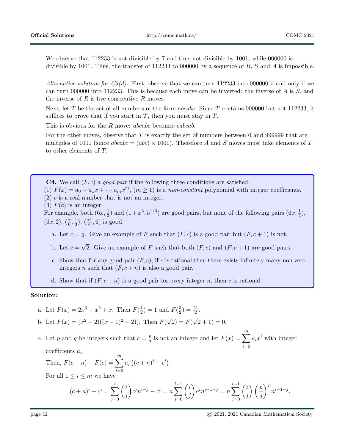We observe that 112233 is not divisible by 7 and thus not divisible by 1001, while 000000 is divisible by 1001. Thus, the transfer of 112233 to 000000 by a sequence of  $R$ ,  $S$  and  $A$  is impossible.

Alternative solution for  $C_3(d)$ : First, observe that we can turn 112233 into 000000 if and only if we can turn 000000 into 112233. This is because each move can be inverted: the inverse of A is S, and the inverse of  $R$  is five consecutive  $R$  moves.

Next, let T be the set of all numbers of the form *abcabc*. Since T contains 000000 but not 112233, it suffices to prove that if you start in  $T$ , then you must stay in  $T$ .

This is obvious for the R move: *abcabc* becomes *cabcab*.

For the other moves, observe that  $T$  is exactly the set of numbers between 0 and 999999 that are multiples of 1001 (since  $abc = (abc) \times 1001$ ). Therefore A and S moves must take elements of T to other elements of T.

**C4.** We call  $(F, c)$  a good pair if the following three conditions are satisfied:

(1)  $F(x) = a_0 + a_1x + \cdots + a_mx^m$ ,  $(m \ge 1)$  is a non-constant polynomial with integer coefficients.  $(2)$  c is a real number that is not an integer.

(3)  $F(c)$  is an integer.

For example, both  $(6x, \frac{1}{3})$  and  $(1+x^3, 5^{1/3})$  are good pairs, but none of the following pairs  $(6x, \frac{1}{4})$ ,  $(6x, 2), (\frac{x}{6}, \frac{1}{3})$  $(\frac{1}{3}), (\frac{x^2}{6})$  $(\frac{c^2}{6}, 6)$  is good.

- a. Let  $c=\frac{1}{2}$  $\frac{1}{2}$ . Give an example of F such that  $(F, c)$  is a good pair but  $(F, c + 1)$  is not.
- b. Let  $c =$ √ 2. Give an example of F such that both  $(F, c)$  and  $(F, c + 1)$  are good pairs.
- c. Show that for any good pair  $(F, c)$ , if c is rational then there exists infinitely many non-zero integers *n* such that  $(F, c + n)$  is also a good pair.

d. Show that if  $(F, c + n)$  is a good pair for every integer n, then c is rational.

#### Solution:

a. Let 
$$
F(x) = 2x^3 + x^2 + x
$$
. Then  $F(\frac{1}{2}) = 1$  and  $F(\frac{3}{2}) = \frac{21}{2}$ .  
b. Let  $F(x) = (x^2 - 2)((x - 1)^2 - 2)$ . Then  $F(\sqrt{2}) = F(\sqrt{2} + 1) = 0$ .

c. Let p and q be integers such that  $c = \frac{p}{q}$  $\frac{p}{q}$  is not an integer and let  $F(x) = \sum^{m}$  $i=0$  $a_i x^i$  with integer  $\text{coefficients } a_i.$ 

Then, 
$$
F(c+n) - F(c) = \sum_{i=0}^{m} a_i ((c+n)^i - c^i)
$$
.

For all  $1 \leq i \leq m$  we have

$$
(c+n)^{i} - c^{i} = \sum_{j=0}^{i} {i \choose j} c^{j} n^{i-j} - c^{i} = n \sum_{j=0}^{i-1} {i \choose j} c^{j} n^{i-1-j} = n \sum_{j=0}^{i-1} {i \choose j} \left(\frac{p}{q}\right)^{j} n^{i-1-j}.
$$